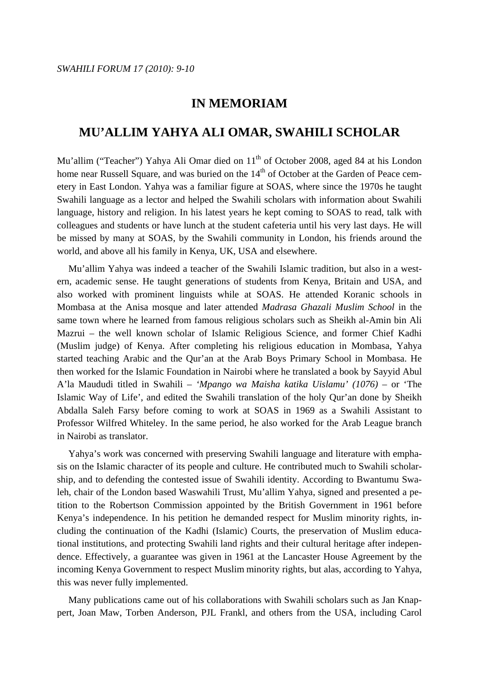## **IN MEMORIAM**

## **MU'ALLIM YAHYA ALI OMAR, SWAHILI SCHOLAR**

Mu'allim ("Teacher") Yahya Ali Omar died on 11<sup>th</sup> of October 2008, aged 84 at his London home near Russell Square, and was buried on the 14<sup>th</sup> of October at the Garden of Peace cemetery in East London. Yahya was a familiar figure at SOAS, where since the 1970s he taught Swahili language as a lector and helped the Swahili scholars with information about Swahili language, history and religion. In his latest years he kept coming to SOAS to read, talk with colleagues and students or have lunch at the student cafeteria until his very last days. He will be missed by many at SOAS, by the Swahili community in London, his friends around the world, and above all his family in Kenya, UK, USA and elsewhere.

 Mu'allim Yahya was indeed a teacher of the Swahili Islamic tradition, but also in a western, academic sense. He taught generations of students from Kenya, Britain and USA, and also worked with prominent linguists while at SOAS. He attended Koranic schools in Mombasa at the Anisa mosque and later attended *Madrasa Ghazali Muslim School* in the same town where he learned from famous religious scholars such as Sheikh al-Amin bin Ali Mazrui – the well known scholar of Islamic Religious Science, and former Chief Kadhi (Muslim judge) of Kenya. After completing his religious education in Mombasa, Yahya started teaching Arabic and the Qur'an at the Arab Boys Primary School in Mombasa. He then worked for the Islamic Foundation in Nairobi where he translated a book by Sayyid Abul A'la Maududi titled in Swahili *– 'Mpango wa Maisha katika Uislamu' (1076) –* or 'The Islamic Way of Life', and edited the Swahili translation of the holy Qur'an done by Sheikh Abdalla Saleh Farsy before coming to work at SOAS in 1969 as a Swahili Assistant to Professor Wilfred Whiteley. In the same period, he also worked for the Arab League branch in Nairobi as translator.

 Yahya's work was concerned with preserving Swahili language and literature with emphasis on the Islamic character of its people and culture. He contributed much to Swahili scholarship, and to defending the contested issue of Swahili identity. According to Bwantumu Swaleh, chair of the London based Waswahili Trust, Mu'allim Yahya, signed and presented a petition to the Robertson Commission appointed by the British Government in 1961 before Kenya's independence. In his petition he demanded respect for Muslim minority rights, including the continuation of the Kadhi (Islamic) Courts, the preservation of Muslim educational institutions, and protecting Swahili land rights and their cultural heritage after independence. Effectively, a guarantee was given in 1961 at the Lancaster House Agreement by the incoming Kenya Government to respect Muslim minority rights, but alas, according to Yahya, this was never fully implemented.

 Many publications came out of his collaborations with Swahili scholars such as Jan Knappert, Joan Maw, Torben Anderson, PJL Frankl, and others from the USA, including Carol